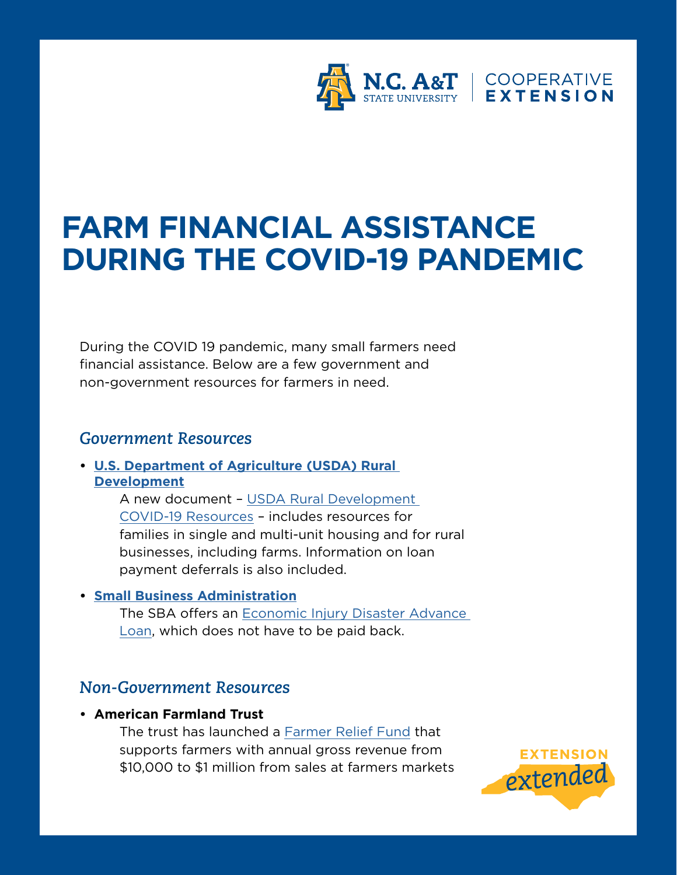

# **FARM FINANCIAL ASSISTANCE DURING THE COVID-19 PANDEMIC**

During the COVID 19 pandemic, many small farmers need financial assistance. Below are a few government and non-government resources for farmers in need.

## *Government Resources*

**• [U.S. Department of Agriculture \(USDA\) Rural](https://www.rd.usda.gov/coronavirus)  [Development](https://www.rd.usda.gov/coronavirus)**

> A new document – [USDA Rural Development](https://rd.usda.gov/sites/default/files/USDA_RD_SA_COVID19_ProgramImmediateActions.pdf)  [COVID-19 Resources](https://rd.usda.gov/sites/default/files/USDA_RD_SA_COVID19_ProgramImmediateActions.pdf) – includes resources for families in single and multi-unit housing and for rural businesses, including farms. Information on loan payment deferrals is also included.

#### **• [Small Business Administration](https://www.sba.gov/disaster-assistance/coronavirus-covid-19)**

The SBA offers an Economic Injury Disaster Advance [Loan](https://www.sba.gov/disaster-assistance/coronavirus-covid-19#section-header-3), which does not have to be paid back.

# *Non-Government Resources*

#### **• American Farmland Trust**

 The trust has launched a [Farmer Relief Fund](https://farmland.org/farmer-relief-fund/) that supports farmers with annual gross revenue from \$10,000 to \$1 million from sales at farmers markets